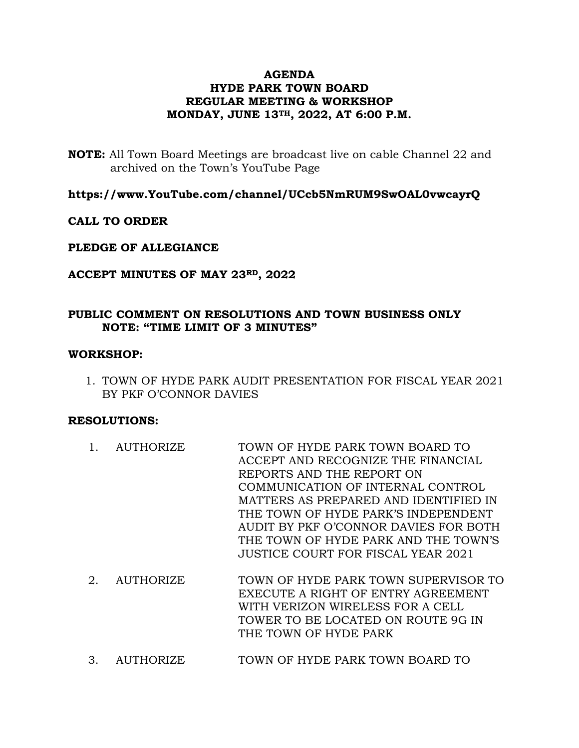# **AGENDA HYDE PARK TOWN BOARD REGULAR MEETING & WORKSHOP MONDAY, JUNE 13TH, 2022, AT 6:00 P.M.**

**NOTE:** All Town Board Meetings are broadcast live on cable Channel 22 and archived on the Town's YouTube Page

**https://www.YouTube.com/channel/UCcb5NmRUM9SwOAL0vwcayrQ**

# **CALL TO ORDER**

## **PLEDGE OF ALLEGIANCE**

# **ACCEPT MINUTES OF MAY 23RD, 2022**

# **PUBLIC COMMENT ON RESOLUTIONS AND TOWN BUSINESS ONLY NOTE: "TIME LIMIT OF 3 MINUTES"**

## **WORKSHOP:**

1. TOWN OF HYDE PARK AUDIT PRESENTATION FOR FISCAL YEAR 2021 BY PKF O'CONNOR DAVIES

## **RESOLUTIONS:**

- 1. AUTHORIZE TOWN OF HYDE PARK TOWN BOARD TO ACCEPT AND RECOGNIZE THE FINANCIAL REPORTS AND THE REPORT ON COMMUNICATION OF INTERNAL CONTROL MATTERS AS PREPARED AND IDENTIFIED IN THE TOWN OF HYDE PARK'S INDEPENDENT AUDIT BY PKF O'CONNOR DAVIES FOR BOTH THE TOWN OF HYDE PARK AND THE TOWN'S JUSTICE COURT FOR FISCAL YEAR 2021
- 2. AUTHORIZE TOWN OF HYDE PARK TOWN SUPERVISOR TO EXECUTE A RIGHT OF ENTRY AGREEMENT WITH VERIZON WIRELESS FOR A CELL TOWER TO BE LOCATED ON ROUTE 9G IN THE TOWN OF HYDE PARK
- 3. AUTHORIZE TOWN OF HYDE PARK TOWN BOARD TO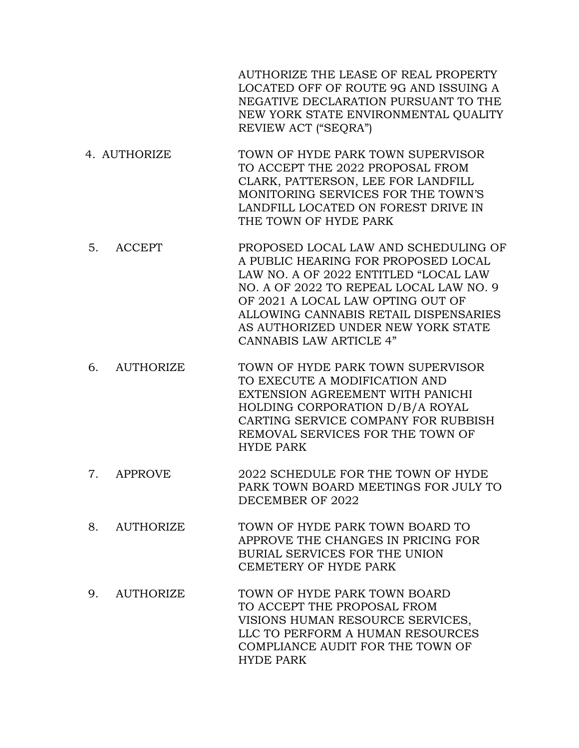AUTHORIZE THE LEASE OF REAL PROPERTY LOCATED OFF OF ROUTE 9G AND ISSUING A NEGATIVE DECLARATION PURSUANT TO THE NEW YORK STATE ENVIRONMENTAL QUALITY REVIEW ACT ("SEQRA")

- 4. AUTHORIZE TOWN OF HYDE PARK TOWN SUPERVISOR TO ACCEPT THE 2022 PROPOSAL FROM CLARK, PATTERSON, LEE FOR LANDFILL MONITORING SERVICES FOR THE TOWN'S LANDFILL LOCATED ON FOREST DRIVE IN THE TOWN OF HYDE PARK
- 5. ACCEPT PROPOSED LOCAL LAW AND SCHEDULING OF A PUBLIC HEARING FOR PROPOSED LOCAL LAW NO. A OF 2022 ENTITLED "LOCAL LAW NO. A OF 2022 TO REPEAL LOCAL LAW NO. 9 OF 2021 A LOCAL LAW OPTING OUT OF ALLOWING CANNABIS RETAIL DISPENSARIES AS AUTHORIZED UNDER NEW YORK STATE CANNABIS LAW ARTICLE 4"
- 6. AUTHORIZE TOWN OF HYDE PARK TOWN SUPERVISOR TO EXECUTE A MODIFICATION AND EXTENSION AGREEMENT WITH PANICHI HOLDING CORPORATION D/B/A ROYAL CARTING SERVICE COMPANY FOR RUBBISH REMOVAL SERVICES FOR THE TOWN OF HYDE PARK
- 7. APPROVE 2022 SCHEDULE FOR THE TOWN OF HYDE PARK TOWN BOARD MEETINGS FOR JULY TO DECEMBER OF 2022
- 8. AUTHORIZE TOWN OF HYDE PARK TOWN BOARD TO APPROVE THE CHANGES IN PRICING FOR BURIAL SERVICES FOR THE UNION CEMETERY OF HYDE PARK
- 9. AUTHORIZE TOWN OF HYDE PARK TOWN BOARD TO ACCEPT THE PROPOSAL FROM VISIONS HUMAN RESOURCE SERVICES, LLC TO PERFORM A HUMAN RESOURCES COMPLIANCE AUDIT FOR THE TOWN OF HYDE PARK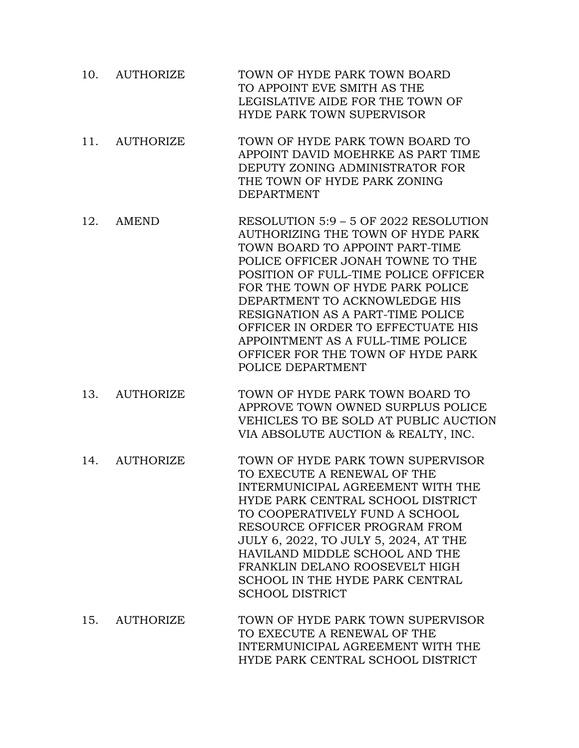- 10. AUTHORIZE TOWN OF HYDE PARK TOWN BOARD TO APPOINT EVE SMITH AS THE LEGISLATIVE AIDE FOR THE TOWN OF HYDE PARK TOWN SUPERVISOR
- 11. AUTHORIZE TOWN OF HYDE PARK TOWN BOARD TO APPOINT DAVID MOEHRKE AS PART TIME DEPUTY ZONING ADMINISTRATOR FOR THE TOWN OF HYDE PARK ZONING DEPARTMENT
- 12. AMEND RESOLUTION 5:9 5 OF 2022 RESOLUTION AUTHORIZING THE TOWN OF HYDE PARK TOWN BOARD TO APPOINT PART-TIME POLICE OFFICER JONAH TOWNE TO THE POSITION OF FULL-TIME POLICE OFFICER FOR THE TOWN OF HYDE PARK POLICE DEPARTMENT TO ACKNOWLEDGE HIS RESIGNATION AS A PART-TIME POLICE OFFICER IN ORDER TO EFFECTUATE HIS APPOINTMENT AS A FULL-TIME POLICE OFFICER FOR THE TOWN OF HYDE PARK POLICE DEPARTMENT
- 13. AUTHORIZE TOWN OF HYDE PARK TOWN BOARD TO APPROVE TOWN OWNED SURPLUS POLICE VEHICLES TO BE SOLD AT PUBLIC AUCTION VIA ABSOLUTE AUCTION & REALTY, INC.
- 14. AUTHORIZE TOWN OF HYDE PARK TOWN SUPERVISOR TO EXECUTE A RENEWAL OF THE INTERMUNICIPAL AGREEMENT WITH THE HYDE PARK CENTRAL SCHOOL DISTRICT TO COOPERATIVELY FUND A SCHOOL RESOURCE OFFICER PROGRAM FROM JULY 6, 2022, TO JULY 5, 2024, AT THE HAVILAND MIDDLE SCHOOL AND THE FRANKLIN DELANO ROOSEVELT HIGH SCHOOL IN THE HYDE PARK CENTRAL SCHOOL DISTRICT
- 15. AUTHORIZE TOWN OF HYDE PARK TOWN SUPERVISOR TO EXECUTE A RENEWAL OF THE INTERMUNICIPAL AGREEMENT WITH THE HYDE PARK CENTRAL SCHOOL DISTRICT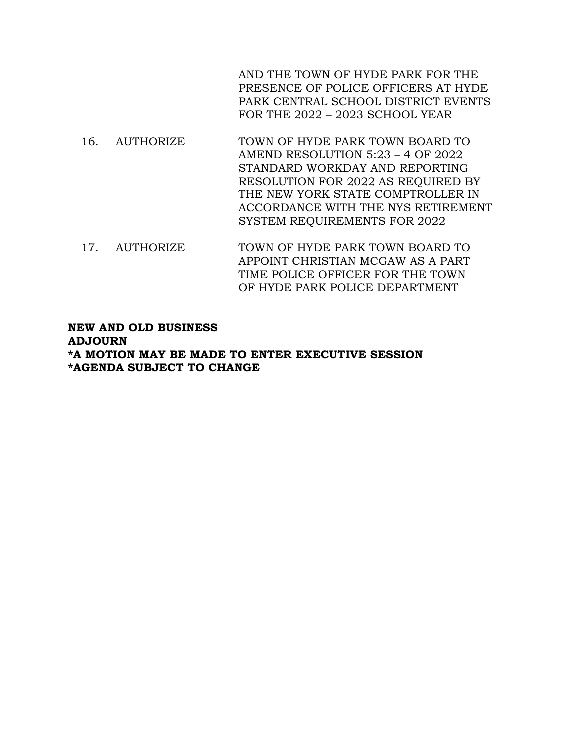AND THE TOWN OF HYDE PARK FOR THE PRESENCE OF POLICE OFFICERS AT HYDE PARK CENTRAL SCHOOL DISTRICT EVENTS FOR THE 2022 – 2023 SCHOOL YEAR

- 16. AUTHORIZE TOWN OF HYDE PARK TOWN BOARD TO AMEND RESOLUTION 5:23 – 4 OF 2022 STANDARD WORKDAY AND REPORTING RESOLUTION FOR 2022 AS REQUIRED BY THE NEW YORK STATE COMPTROLLER IN ACCORDANCE WITH THE NYS RETIREMENT SYSTEM REQUIREMENTS FOR 2022
- 17. AUTHORIZE TOWN OF HYDE PARK TOWN BOARD TO APPOINT CHRISTIAN MCGAW AS A PART TIME POLICE OFFICER FOR THE TOWN OF HYDE PARK POLICE DEPARTMENT

## **NEW AND OLD BUSINESS ADJOURN \*A MOTION MAY BE MADE TO ENTER EXECUTIVE SESSION \*AGENDA SUBJECT TO CHANGE**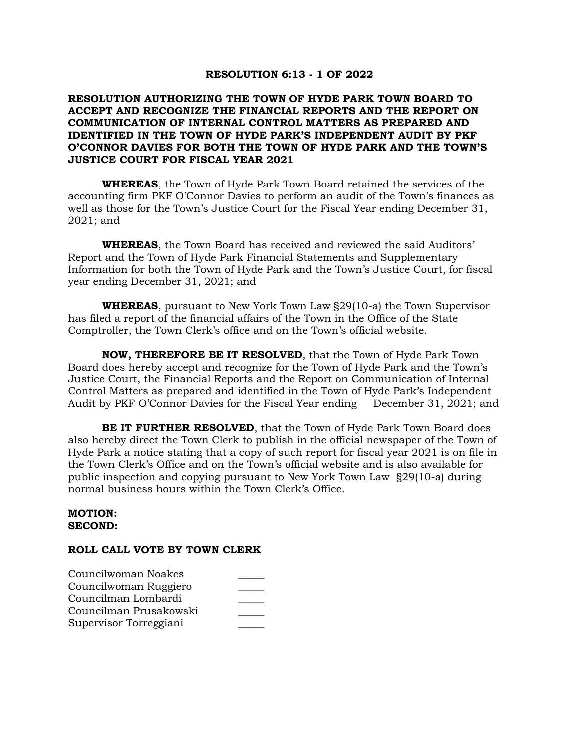#### **RESOLUTION 6:13 - 1 OF 2022**

### **RESOLUTION AUTHORIZING THE TOWN OF HYDE PARK TOWN BOARD TO ACCEPT AND RECOGNIZE THE FINANCIAL REPORTS AND THE REPORT ON COMMUNICATION OF INTERNAL CONTROL MATTERS AS PREPARED AND IDENTIFIED IN THE TOWN OF HYDE PARK'S INDEPENDENT AUDIT BY PKF O'CONNOR DAVIES FOR BOTH THE TOWN OF HYDE PARK AND THE TOWN'S JUSTICE COURT FOR FISCAL YEAR 2021**

**WHEREAS**, the Town of Hyde Park Town Board retained the services of the accounting firm PKF O'Connor Davies to perform an audit of the Town's finances as well as those for the Town's Justice Court for the Fiscal Year ending December 31, 2021; and

**WHEREAS**, the Town Board has received and reviewed the said Auditors' Report and the Town of Hyde Park Financial Statements and Supplementary Information for both the Town of Hyde Park and the Town's Justice Court, for fiscal year ending December 31, 2021; and

**WHEREAS**, pursuant to New York Town Law §29(10-a) the Town Supervisor has filed a report of the financial affairs of the Town in the Office of the State Comptroller, the Town Clerk's office and on the Town's official website.

**NOW, THEREFORE BE IT RESOLVED**, that the Town of Hyde Park Town Board does hereby accept and recognize for the Town of Hyde Park and the Town's Justice Court, the Financial Reports and the Report on Communication of Internal Control Matters as prepared and identified in the Town of Hyde Park's Independent Audit by PKF O'Connor Davies for the Fiscal Year ending December 31, 2021; and

**BE IT FURTHER RESOLVED**, that the Town of Hyde Park Town Board does also hereby direct the Town Clerk to publish in the official newspaper of the Town of Hyde Park a notice stating that a copy of such report for fiscal year 2021 is on file in the Town Clerk's Office and on the Town's official website and is also available for public inspection and copying pursuant to New York Town Law §29(10-a) during normal business hours within the Town Clerk's Office.

#### **MOTION: SECOND:**

| Councilwoman Noakes    |  |
|------------------------|--|
| Councilwoman Ruggiero  |  |
| Councilman Lombardi    |  |
| Councilman Prusakowski |  |
| Supervisor Torreggiani |  |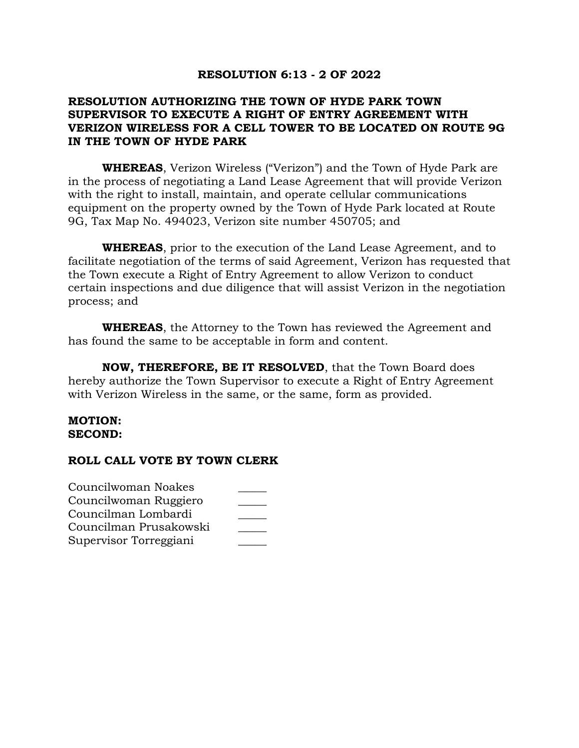## **RESOLUTION 6:13 - 2 OF 2022**

# **RESOLUTION AUTHORIZING THE TOWN OF HYDE PARK TOWN SUPERVISOR TO EXECUTE A RIGHT OF ENTRY AGREEMENT WITH VERIZON WIRELESS FOR A CELL TOWER TO BE LOCATED ON ROUTE 9G IN THE TOWN OF HYDE PARK**

**WHEREAS**, Verizon Wireless ("Verizon") and the Town of Hyde Park are in the process of negotiating a Land Lease Agreement that will provide Verizon with the right to install, maintain, and operate cellular communications equipment on the property owned by the Town of Hyde Park located at Route 9G, Tax Map No. 494023, Verizon site number 450705; and

**WHEREAS**, prior to the execution of the Land Lease Agreement, and to facilitate negotiation of the terms of said Agreement, Verizon has requested that the Town execute a Right of Entry Agreement to allow Verizon to conduct certain inspections and due diligence that will assist Verizon in the negotiation process; and

**WHEREAS**, the Attorney to the Town has reviewed the Agreement and has found the same to be acceptable in form and content.

**NOW, THEREFORE, BE IT RESOLVED**, that the Town Board does hereby authorize the Town Supervisor to execute a Right of Entry Agreement with Verizon Wireless in the same, or the same, form as provided.

#### **MOTION: SECOND:**

| Councilwoman Noakes    |  |
|------------------------|--|
| Councilwoman Ruggiero  |  |
| Councilman Lombardi    |  |
| Councilman Prusakowski |  |
| Supervisor Torreggiani |  |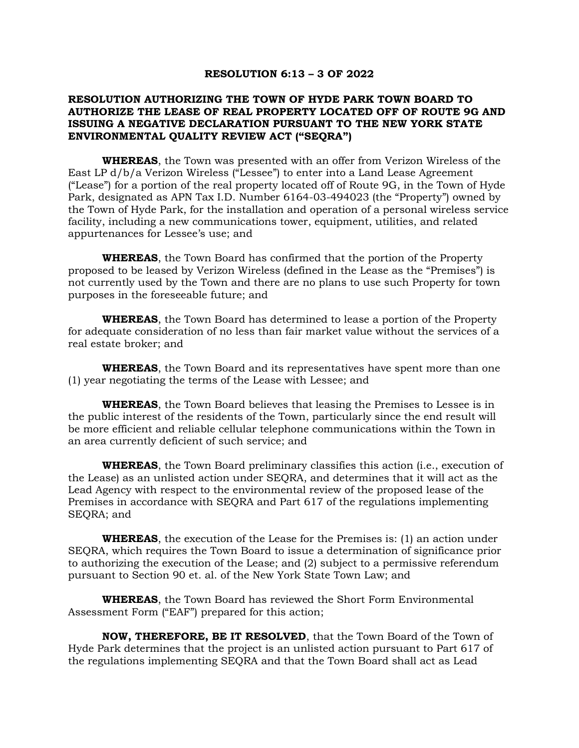#### **RESOLUTION 6:13 – 3 OF 2022**

#### **RESOLUTION AUTHORIZING THE TOWN OF HYDE PARK TOWN BOARD TO AUTHORIZE THE LEASE OF REAL PROPERTY LOCATED OFF OF ROUTE 9G AND ISSUING A NEGATIVE DECLARATION PURSUANT TO THE NEW YORK STATE ENVIRONMENTAL QUALITY REVIEW ACT ("SEQRA")**

**WHEREAS**, the Town was presented with an offer from Verizon Wireless of the East LP d/b/a Verizon Wireless ("Lessee") to enter into a Land Lease Agreement ("Lease") for a portion of the real property located off of Route 9G, in the Town of Hyde Park, designated as APN Tax I.D. Number 6164-03-494023 (the "Property") owned by the Town of Hyde Park, for the installation and operation of a personal wireless service facility, including a new communications tower, equipment, utilities, and related appurtenances for Lessee's use; and

**WHEREAS**, the Town Board has confirmed that the portion of the Property proposed to be leased by Verizon Wireless (defined in the Lease as the "Premises") is not currently used by the Town and there are no plans to use such Property for town purposes in the foreseeable future; and

**WHEREAS**, the Town Board has determined to lease a portion of the Property for adequate consideration of no less than fair market value without the services of a real estate broker; and

**WHEREAS**, the Town Board and its representatives have spent more than one (1) year negotiating the terms of the Lease with Lessee; and

**WHEREAS**, the Town Board believes that leasing the Premises to Lessee is in the public interest of the residents of the Town, particularly since the end result will be more efficient and reliable cellular telephone communications within the Town in an area currently deficient of such service; and

**WHEREAS**, the Town Board preliminary classifies this action (i.e., execution of the Lease) as an unlisted action under SEQRA, and determines that it will act as the Lead Agency with respect to the environmental review of the proposed lease of the Premises in accordance with SEQRA and Part 617 of the regulations implementing SEQRA; and

**WHEREAS**, the execution of the Lease for the Premises is: (1) an action under SEQRA, which requires the Town Board to issue a determination of significance prior to authorizing the execution of the Lease; and (2) subject to a permissive referendum pursuant to Section 90 et. al. of the New York State Town Law; and

**WHEREAS**, the Town Board has reviewed the Short Form Environmental Assessment Form ("EAF") prepared for this action;

**NOW, THEREFORE, BE IT RESOLVED**, that the Town Board of the Town of Hyde Park determines that the project is an unlisted action pursuant to Part 617 of the regulations implementing SEQRA and that the Town Board shall act as Lead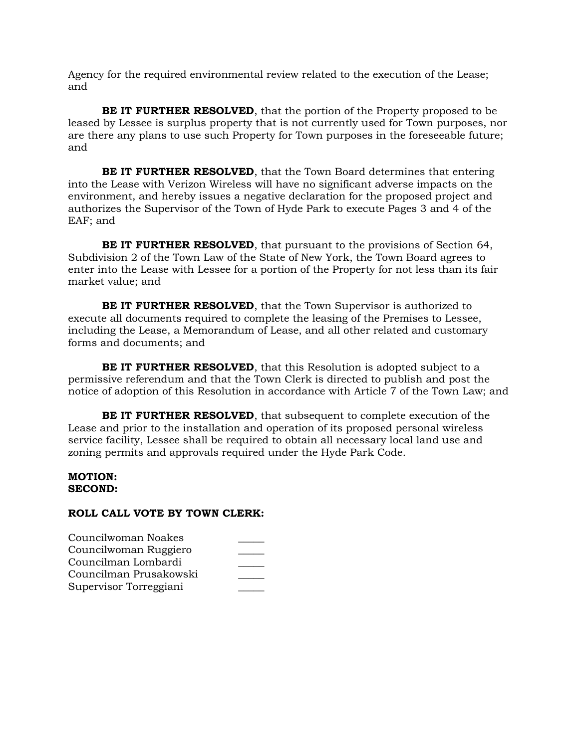Agency for the required environmental review related to the execution of the Lease; and

**BE IT FURTHER RESOLVED**, that the portion of the Property proposed to be leased by Lessee is surplus property that is not currently used for Town purposes, nor are there any plans to use such Property for Town purposes in the foreseeable future; and

**BE IT FURTHER RESOLVED**, that the Town Board determines that entering into the Lease with Verizon Wireless will have no significant adverse impacts on the environment, and hereby issues a negative declaration for the proposed project and authorizes the Supervisor of the Town of Hyde Park to execute Pages 3 and 4 of the EAF; and

**BE IT FURTHER RESOLVED**, that pursuant to the provisions of Section 64, Subdivision 2 of the Town Law of the State of New York, the Town Board agrees to enter into the Lease with Lessee for a portion of the Property for not less than its fair market value; and

**BE IT FURTHER RESOLVED**, that the Town Supervisor is authorized to execute all documents required to complete the leasing of the Premises to Lessee, including the Lease, a Memorandum of Lease, and all other related and customary forms and documents; and

**BE IT FURTHER RESOLVED**, that this Resolution is adopted subject to a permissive referendum and that the Town Clerk is directed to publish and post the notice of adoption of this Resolution in accordance with Article 7 of the Town Law; and

**BE IT FURTHER RESOLVED**, that subsequent to complete execution of the Lease and prior to the installation and operation of its proposed personal wireless service facility, Lessee shall be required to obtain all necessary local land use and zoning permits and approvals required under the Hyde Park Code.

#### **MOTION: SECOND:**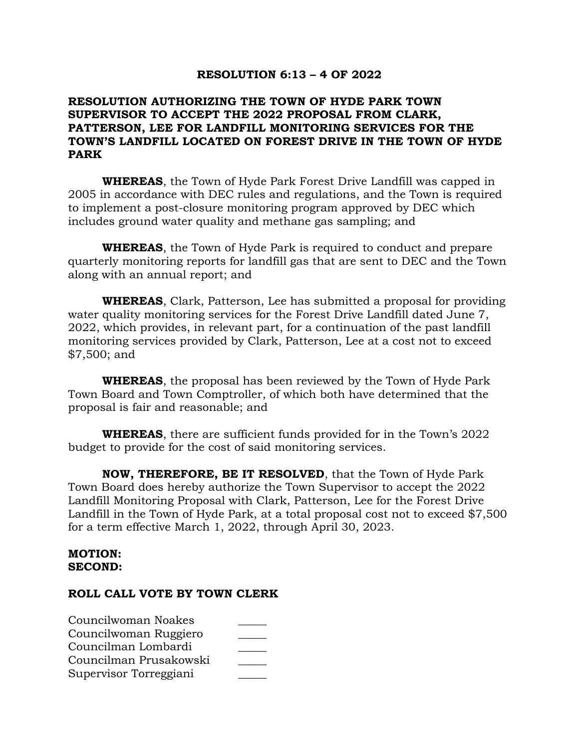## **RESOLUTION 6:13 – 4 OF 2022**

# **RESOLUTION AUTHORIZING THE TOWN OF HYDE PARK TOWN SUPERVISOR TO ACCEPT THE 2022 PROPOSAL FROM CLARK, PATTERSON, LEE FOR LANDFILL MONITORING SERVICES FOR THE TOWN'S LANDFILL LOCATED ON FOREST DRIVE IN THE TOWN OF HYDE PARK**

**WHEREAS**, the Town of Hyde Park Forest Drive Landfill was capped in 2005 in accordance with DEC rules and regulations, and the Town is required to implement a post-closure monitoring program approved by DEC which includes ground water quality and methane gas sampling; and

**WHEREAS**, the Town of Hyde Park is required to conduct and prepare quarterly monitoring reports for landfill gas that are sent to DEC and the Town along with an annual report; and

**WHEREAS**, Clark, Patterson, Lee has submitted a proposal for providing water quality monitoring services for the Forest Drive Landfill dated June 7, 2022, which provides, in relevant part, for a continuation of the past landfill monitoring services provided by Clark, Patterson, Lee at a cost not to exceed \$7,500; and

**WHEREAS**, the proposal has been reviewed by the Town of Hyde Park Town Board and Town Comptroller, of which both have determined that the proposal is fair and reasonable; and

**WHEREAS**, there are sufficient funds provided for in the Town's 2022 budget to provide for the cost of said monitoring services.

**NOW, THEREFORE, BE IT RESOLVED**, that the Town of Hyde Park Town Board does hereby authorize the Town Supervisor to accept the 2022 Landfill Monitoring Proposal with Clark, Patterson, Lee for the Forest Drive Landfill in the Town of Hyde Park, at a total proposal cost not to exceed \$7,500 for a term effective March 1, 2022, through April 30, 2023.

### **MOTION: SECOND:**

| Councilwoman Noakes    |  |
|------------------------|--|
| Councilwoman Ruggiero  |  |
| Councilman Lombardi    |  |
| Councilman Prusakowski |  |
| Supervisor Torreggiani |  |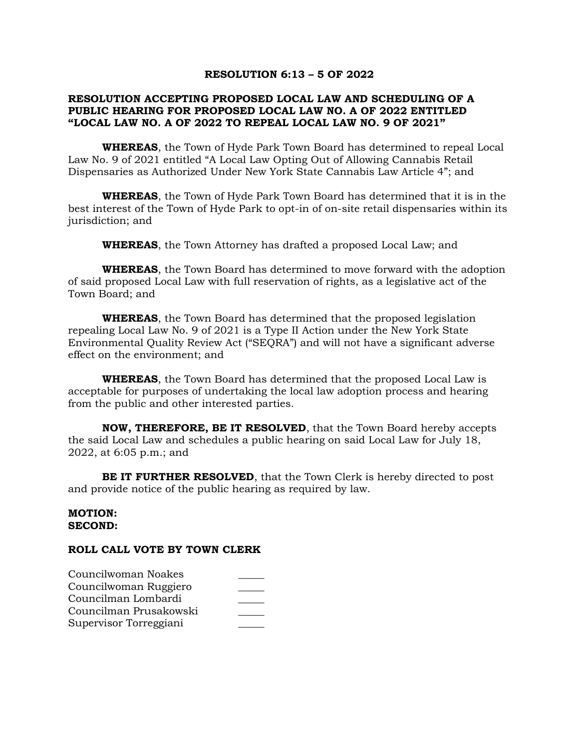#### **RESOLUTION 6:13 – 5 OF 2022**

### **RESOLUTION ACCEPTING PROPOSED LOCAL LAW AND SCHEDULING OF A PUBLIC HEARING FOR PROPOSED LOCAL LAW NO. A OF 2022 ENTITLED "LOCAL LAW NO. A OF 2022 TO REPEAL LOCAL LAW NO. 9 OF 2021"**

**WHEREAS**, the Town of Hyde Park Town Board has determined to repeal Local Law No. 9 of 2021 entitled "A Local Law Opting Out of Allowing Cannabis Retail Dispensaries as Authorized Under New York State Cannabis Law Article 4"; and

**WHEREAS**, the Town of Hyde Park Town Board has determined that it is in the best interest of the Town of Hyde Park to opt-in of on-site retail dispensaries within its jurisdiction; and

**WHEREAS**, the Town Attorney has drafted a proposed Local Law; and

**WHEREAS**, the Town Board has determined to move forward with the adoption of said proposed Local Law with full reservation of rights, as a legislative act of the Town Board; and

**WHEREAS**, the Town Board has determined that the proposed legislation repealing Local Law No. 9 of 2021 is a Type II Action under the New York State Environmental Quality Review Act ("SEQRA") and will not have a significant adverse effect on the environment; and

**WHEREAS**, the Town Board has determined that the proposed Local Law is acceptable for purposes of undertaking the local law adoption process and hearing from the public and other interested parties.

**NOW, THEREFORE, BE IT RESOLVED**, that the Town Board hereby accepts the said Local Law and schedules a public hearing on said Local Law for July 18, 2022, at 6:05 p.m.; and

**BE IT FURTHER RESOLVED**, that the Town Clerk is hereby directed to post and provide notice of the public hearing as required by law.

#### **MOTION: SECOND:**

| Councilwoman Noakes    |  |
|------------------------|--|
| Councilwoman Ruggiero  |  |
| Councilman Lombardi    |  |
| Councilman Prusakowski |  |
| Supervisor Torreggiani |  |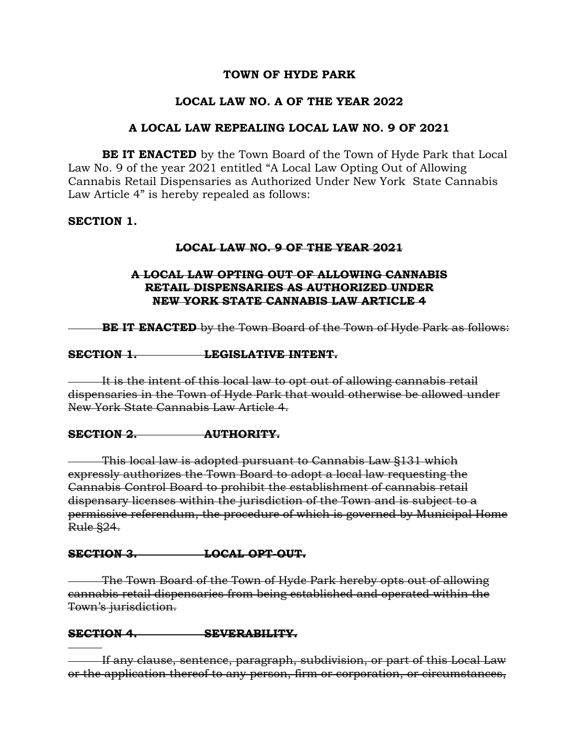# **TOWN OF HYDE PARK**

# **LOCAL LAW NO. A OF THE YEAR 2022**

## **A LOCAL LAW REPEALING LOCAL LAW NO. 9 OF 2021**

**BE IT ENACTED** by the Town Board of the Town of Hyde Park that Local Law No. 9 of the year 2021 entitled "A Local Law Opting Out of Allowing Cannabis Retail Dispensaries as Authorized Under New York State Cannabis Law Article 4" is hereby repealed as follows:

## **SECTION 1.**

## **LOCAL LAW NO. 9 OF THE YEAR 2021**

## **A LOCAL LAW OPTING OUT OF ALLOWING CANNABIS RETAIL DISPENSARIES AS AUTHORIZED UNDER NEW YORK STATE CANNABIS LAW ARTICLE 4**

**BE IT ENACTED** by the Town Board of the Town of Hyde Park as follows:

### **SECTION 1. LEGISLATIVE INTENT.**

It is the intent of this local law to opt out of allowing cannabis retail dispensaries in the Town of Hyde Park that would otherwise be allowed under New York State Cannabis Law Article 4.

## **SECTION 2. AUTHORITY.**

This local law is adopted pursuant to Cannabis Law §131 which expressly authorizes the Town Board to adopt a local law requesting the Cannabis Control Board to prohibit the establishment of cannabis retail dispensary licenses within the jurisdiction of the Town and is subject to a permissive referendum, the procedure of which is governed by Municipal Home Rule §24.

## **SECTION 3. LOCAL OPT-OUT.**

The Town Board of the Town of Hyde Park hereby opts out of allowing cannabis retail dispensaries from being established and operated within the Town's jurisdiction.

## **SECTION 4. SEVERABILITY.**

If any clause, sentence, paragraph, subdivision, or part of this Local Law or the application thereof to any person, firm or corporation, or circumstances,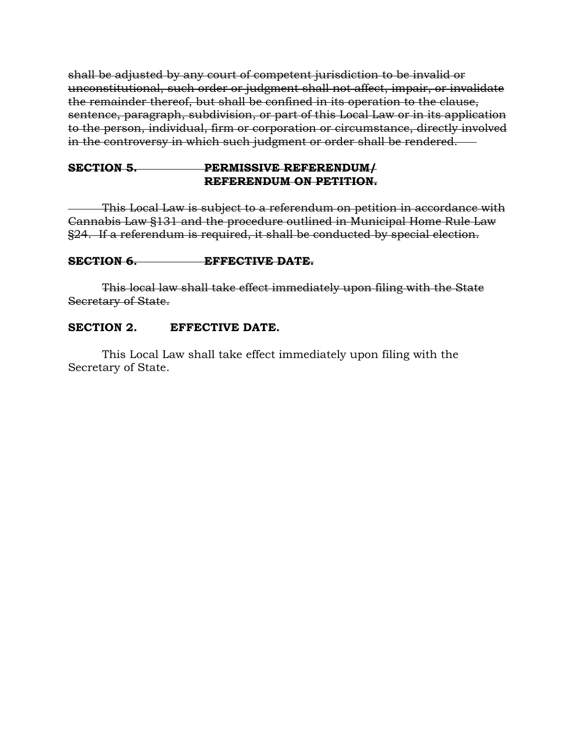shall be adjusted by any court of competent jurisdiction to be invalid or unconstitutional, such order or judgment shall not affect, impair, or invalidate the remainder thereof, but shall be confined in its operation to the clause, sentence, paragraph, subdivision, or part of this Local Law or in its application to the person, individual, firm or corporation or circumstance, directly involved in the controversy in which such judgment or order shall be rendered.

# **SECTION 5. PERMISSIVE REFERENDUM/ REFERENDUM ON PETITION.**

This Local Law is subject to a referendum on petition in accordance with Cannabis Law §131 and the procedure outlined in Municipal Home Rule Law §24. If a referendum is required, it shall be conducted by special election.

# **SECTION 6. EFFECTIVE DATE.**

This local law shall take effect immediately upon filing with the State Secretary of State.

# **SECTION 2. EFFECTIVE DATE.**

This Local Law shall take effect immediately upon filing with the Secretary of State.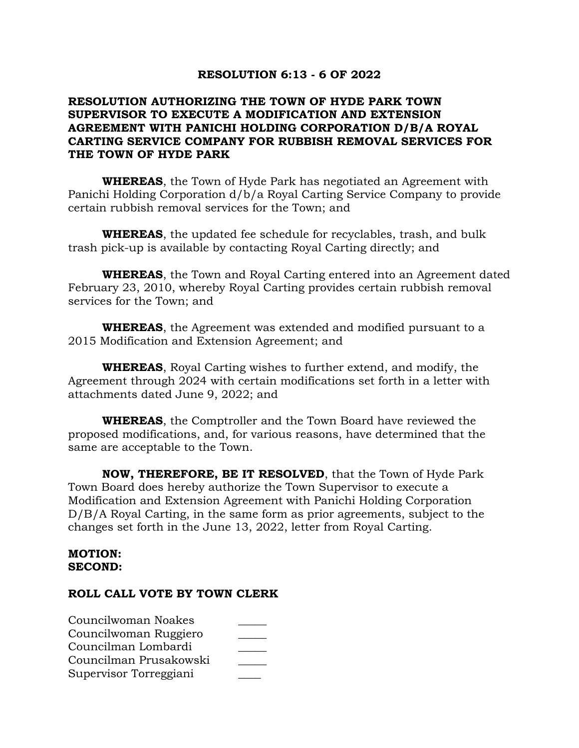## **RESOLUTION 6:13 - 6 OF 2022**

# **RESOLUTION AUTHORIZING THE TOWN OF HYDE PARK TOWN SUPERVISOR TO EXECUTE A MODIFICATION AND EXTENSION AGREEMENT WITH PANICHI HOLDING CORPORATION D/B/A ROYAL CARTING SERVICE COMPANY FOR RUBBISH REMOVAL SERVICES FOR THE TOWN OF HYDE PARK**

**WHEREAS**, the Town of Hyde Park has negotiated an Agreement with Panichi Holding Corporation d/b/a Royal Carting Service Company to provide certain rubbish removal services for the Town; and

**WHEREAS**, the updated fee schedule for recyclables, trash, and bulk trash pick-up is available by contacting Royal Carting directly; and

**WHEREAS**, the Town and Royal Carting entered into an Agreement dated February 23, 2010, whereby Royal Carting provides certain rubbish removal services for the Town; and

**WHEREAS**, the Agreement was extended and modified pursuant to a 2015 Modification and Extension Agreement; and

**WHEREAS**, Royal Carting wishes to further extend, and modify, the Agreement through 2024 with certain modifications set forth in a letter with attachments dated June 9, 2022; and

**WHEREAS**, the Comptroller and the Town Board have reviewed the proposed modifications, and, for various reasons, have determined that the same are acceptable to the Town.

**NOW, THEREFORE, BE IT RESOLVED**, that the Town of Hyde Park Town Board does hereby authorize the Town Supervisor to execute a Modification and Extension Agreement with Panichi Holding Corporation D/B/A Royal Carting, in the same form as prior agreements, subject to the changes set forth in the June 13, 2022, letter from Royal Carting.

### **MOTION: SECOND:**

| Councilwoman Noakes    |  |
|------------------------|--|
| Councilwoman Ruggiero  |  |
| Councilman Lombardi    |  |
| Councilman Prusakowski |  |
| Supervisor Torreggiani |  |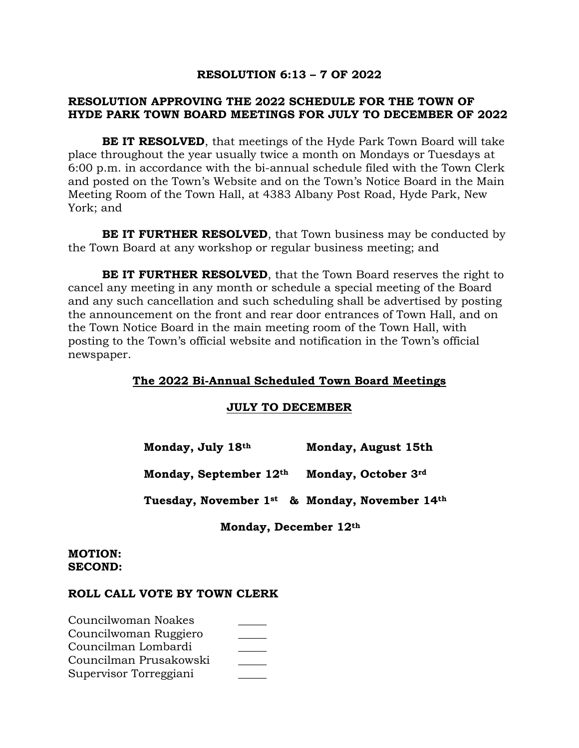## **RESOLUTION 6:13 – 7 OF 2022**

# **RESOLUTION APPROVING THE 2022 SCHEDULE FOR THE TOWN OF HYDE PARK TOWN BOARD MEETINGS FOR JULY TO DECEMBER OF 2022**

**BE IT RESOLVED**, that meetings of the Hyde Park Town Board will take place throughout the year usually twice a month on Mondays or Tuesdays at 6:00 p.m. in accordance with the bi-annual schedule filed with the Town Clerk and posted on the Town's Website and on the Town's Notice Board in the Main Meeting Room of the Town Hall, at 4383 Albany Post Road, Hyde Park, New York; and

**BE IT FURTHER RESOLVED**, that Town business may be conducted by the Town Board at any workshop or regular business meeting; and

**BE IT FURTHER RESOLVED**, that the Town Board reserves the right to cancel any meeting in any month or schedule a special meeting of the Board and any such cancellation and such scheduling shall be advertised by posting the announcement on the front and rear door entrances of Town Hall, and on the Town Notice Board in the main meeting room of the Town Hall, with posting to the Town's official website and notification in the Town's official newspaper.

## **The 2022 Bi-Annual Scheduled Town Board Meetings**

#### **JULY TO DECEMBER**

 **Monday, July 18th Monday, August 15th** 

 **Monday, September 12th Monday, October 3rd** 

 **Tuesday, November 1st & Monday, November 14th** 

 **Monday, December 12th** 

### **MOTION: SECOND:**

| Councilwoman Noakes    |  |
|------------------------|--|
| Councilwoman Ruggiero  |  |
| Councilman Lombardi    |  |
| Councilman Prusakowski |  |
| Supervisor Torreggiani |  |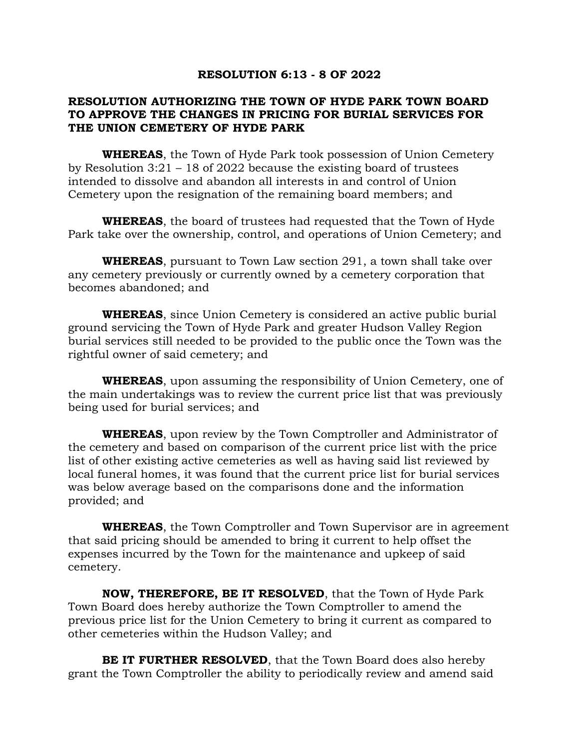### **RESOLUTION 6:13 - 8 OF 2022**

# **RESOLUTION AUTHORIZING THE TOWN OF HYDE PARK TOWN BOARD TO APPROVE THE CHANGES IN PRICING FOR BURIAL SERVICES FOR THE UNION CEMETERY OF HYDE PARK**

**WHEREAS**, the Town of Hyde Park took possession of Union Cemetery by Resolution 3:21 – 18 of 2022 because the existing board of trustees intended to dissolve and abandon all interests in and control of Union Cemetery upon the resignation of the remaining board members; and

**WHEREAS**, the board of trustees had requested that the Town of Hyde Park take over the ownership, control, and operations of Union Cemetery; and

**WHEREAS**, pursuant to Town Law section 291, a town shall take over any cemetery previously or currently owned by a cemetery corporation that becomes abandoned; and

**WHEREAS**, since Union Cemetery is considered an active public burial ground servicing the Town of Hyde Park and greater Hudson Valley Region burial services still needed to be provided to the public once the Town was the rightful owner of said cemetery; and

**WHEREAS**, upon assuming the responsibility of Union Cemetery, one of the main undertakings was to review the current price list that was previously being used for burial services; and

**WHEREAS**, upon review by the Town Comptroller and Administrator of the cemetery and based on comparison of the current price list with the price list of other existing active cemeteries as well as having said list reviewed by local funeral homes, it was found that the current price list for burial services was below average based on the comparisons done and the information provided; and

**WHEREAS**, the Town Comptroller and Town Supervisor are in agreement that said pricing should be amended to bring it current to help offset the expenses incurred by the Town for the maintenance and upkeep of said cemetery.

**NOW, THEREFORE, BE IT RESOLVED**, that the Town of Hyde Park Town Board does hereby authorize the Town Comptroller to amend the previous price list for the Union Cemetery to bring it current as compared to other cemeteries within the Hudson Valley; and

**BE IT FURTHER RESOLVED**, that the Town Board does also hereby grant the Town Comptroller the ability to periodically review and amend said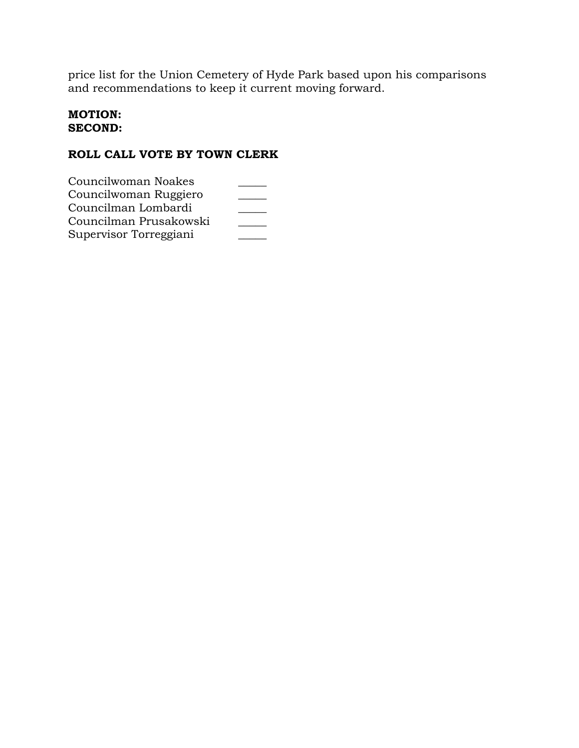price list for the Union Cemetery of Hyde Park based upon his comparisons and recommendations to keep it current moving forward.

# **MOTION: SECOND:**

| Councilwoman Noakes    |  |
|------------------------|--|
| Councilwoman Ruggiero  |  |
| Councilman Lombardi    |  |
| Councilman Prusakowski |  |
| Supervisor Torreggiani |  |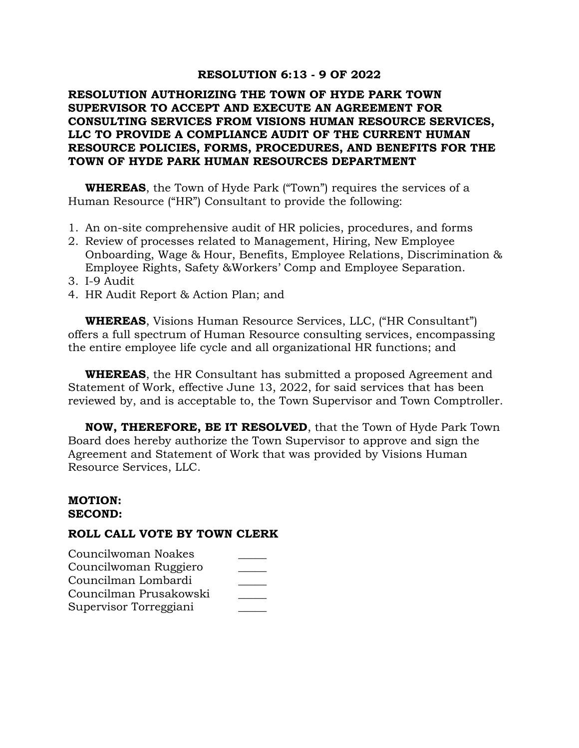### **RESOLUTION 6:13 - 9 OF 2022**

# **RESOLUTION AUTHORIZING THE TOWN OF HYDE PARK TOWN SUPERVISOR TO ACCEPT AND EXECUTE AN AGREEMENT FOR CONSULTING SERVICES FROM VISIONS HUMAN RESOURCE SERVICES, LLC TO PROVIDE A COMPLIANCE AUDIT OF THE CURRENT HUMAN RESOURCE POLICIES, FORMS, PROCEDURES, AND BENEFITS FOR THE TOWN OF HYDE PARK HUMAN RESOURCES DEPARTMENT**

**WHEREAS**, the Town of Hyde Park ("Town") requires the services of a Human Resource ("HR") Consultant to provide the following:

- 1. An on-site comprehensive audit of HR policies, procedures, and forms
- 2. Review of processes related to Management, Hiring, New Employee Onboarding, Wage & Hour, Benefits, Employee Relations, Discrimination & Employee Rights, Safety &Workers' Comp and Employee Separation.
- 3. I-9 Audit
- 4. HR Audit Report & Action Plan; and

**WHEREAS**, Visions Human Resource Services, LLC, ("HR Consultant") offers a full spectrum of Human Resource consulting services, encompassing the entire employee life cycle and all organizational HR functions; and

**WHEREAS**, the HR Consultant has submitted a proposed Agreement and Statement of Work, effective June 13, 2022, for said services that has been reviewed by, and is acceptable to, the Town Supervisor and Town Comptroller.

**NOW, THEREFORE, BE IT RESOLVED**, that the Town of Hyde Park Town Board does hereby authorize the Town Supervisor to approve and sign the Agreement and Statement of Work that was provided by Visions Human Resource Services, LLC.

#### **MOTION: SECOND:**

| Councilwoman Noakes    |  |
|------------------------|--|
| Councilwoman Ruggiero  |  |
| Councilman Lombardi    |  |
| Councilman Prusakowski |  |
| Supervisor Torreggiani |  |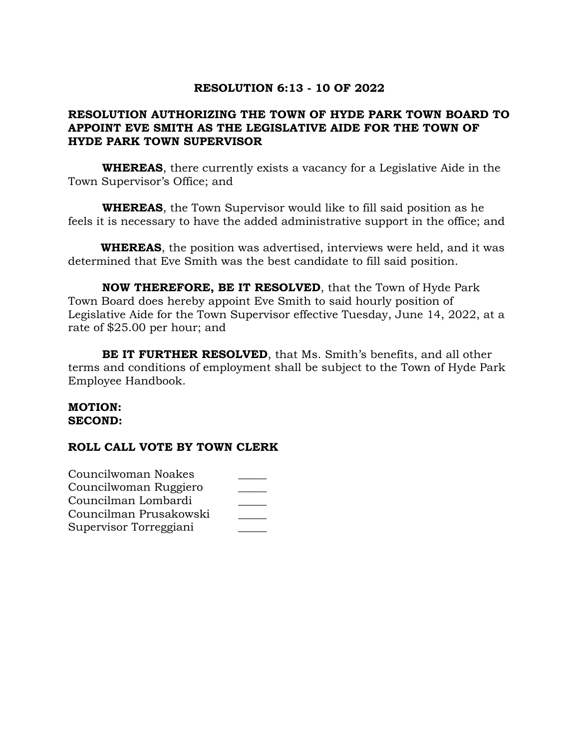# **RESOLUTION 6:13 - 10 OF 2022**

# **RESOLUTION AUTHORIZING THE TOWN OF HYDE PARK TOWN BOARD TO APPOINT EVE SMITH AS THE LEGISLATIVE AIDE FOR THE TOWN OF HYDE PARK TOWN SUPERVISOR**

**WHEREAS**, there currently exists a vacancy for a Legislative Aide in the Town Supervisor's Office; and

**WHEREAS**, the Town Supervisor would like to fill said position as he feels it is necessary to have the added administrative support in the office; and

 **WHEREAS**, the position was advertised, interviews were held, and it was determined that Eve Smith was the best candidate to fill said position.

**NOW THEREFORE, BE IT RESOLVED**, that the Town of Hyde Park Town Board does hereby appoint Eve Smith to said hourly position of Legislative Aide for the Town Supervisor effective Tuesday, June 14, 2022, at a rate of \$25.00 per hour; and

**BE IT FURTHER RESOLVED**, that Ms. Smith's benefits, and all other terms and conditions of employment shall be subject to the Town of Hyde Park Employee Handbook.

### **MOTION: SECOND:**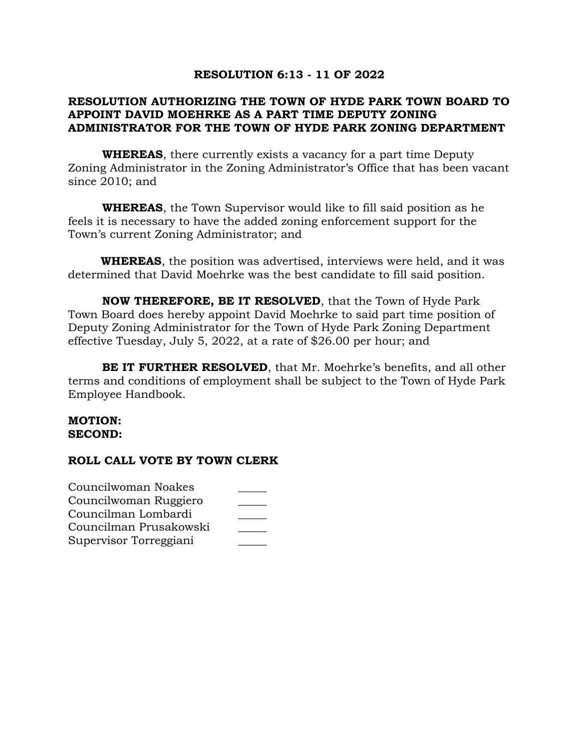# **RESOLUTION 6:13 - 11 OF 2022**

# **RESOLUTION AUTHORIZING THE TOWN OF HYDE PARK TOWN BOARD TO APPOINT DAVID MOEHRKE AS A PART TIME DEPUTY ZONING ADMINISTRATOR FOR THE TOWN OF HYDE PARK ZONING DEPARTMENT**

**WHEREAS**, there currently exists a vacancy for a part time Deputy Zoning Administrator in the Zoning Administrator's Office that has been vacant since 2010; and

**WHEREAS**, the Town Supervisor would like to fill said position as he feels it is necessary to have the added zoning enforcement support for the Town's current Zoning Administrator; and

 **WHEREAS**, the position was advertised, interviews were held, and it was determined that David Moehrke was the best candidate to fill said position.

**NOW THEREFORE, BE IT RESOLVED**, that the Town of Hyde Park Town Board does hereby appoint David Moehrke to said part time position of Deputy Zoning Administrator for the Town of Hyde Park Zoning Department effective Tuesday, July 5, 2022, at a rate of \$26.00 per hour; and

**BE IT FURTHER RESOLVED**, that Mr. Moehrke's benefits, and all other terms and conditions of employment shall be subject to the Town of Hyde Park Employee Handbook.

### **MOTION: SECOND:**

| Councilwoman Noakes    |  |
|------------------------|--|
| Councilwoman Ruggiero  |  |
| Councilman Lombardi    |  |
| Councilman Prusakowski |  |
| Supervisor Torreggiani |  |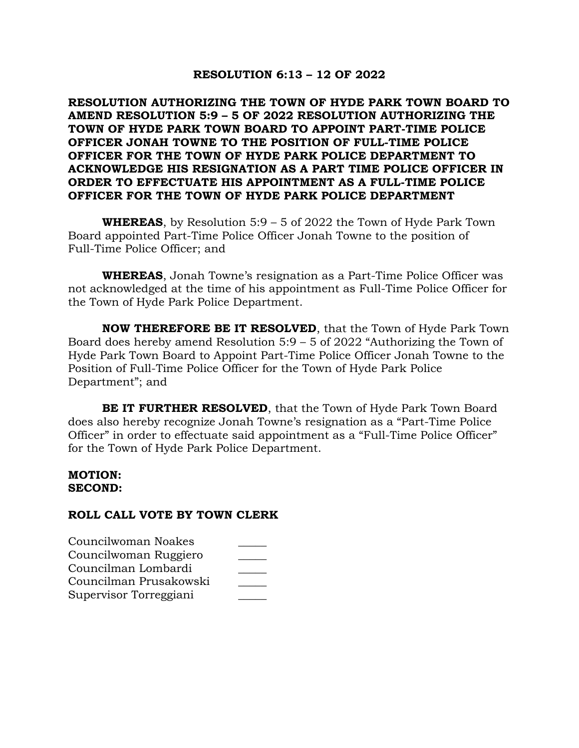## **RESOLUTION 6:13 – 12 OF 2022**

**RESOLUTION AUTHORIZING THE TOWN OF HYDE PARK TOWN BOARD TO AMEND RESOLUTION 5:9 – 5 OF 2022 RESOLUTION AUTHORIZING THE TOWN OF HYDE PARK TOWN BOARD TO APPOINT PART-TIME POLICE OFFICER JONAH TOWNE TO THE POSITION OF FULL-TIME POLICE OFFICER FOR THE TOWN OF HYDE PARK POLICE DEPARTMENT TO ACKNOWLEDGE HIS RESIGNATION AS A PART TIME POLICE OFFICER IN ORDER TO EFFECTUATE HIS APPOINTMENT AS A FULL-TIME POLICE OFFICER FOR THE TOWN OF HYDE PARK POLICE DEPARTMENT**

**WHEREAS**, by Resolution 5:9 – 5 of 2022 the Town of Hyde Park Town Board appointed Part-Time Police Officer Jonah Towne to the position of Full-Time Police Officer; and

**WHEREAS**, Jonah Towne's resignation as a Part-Time Police Officer was not acknowledged at the time of his appointment as Full-Time Police Officer for the Town of Hyde Park Police Department.

**NOW THEREFORE BE IT RESOLVED**, that the Town of Hyde Park Town Board does hereby amend Resolution 5:9 – 5 of 2022 "Authorizing the Town of Hyde Park Town Board to Appoint Part-Time Police Officer Jonah Towne to the Position of Full-Time Police Officer for the Town of Hyde Park Police Department"; and

**BE IT FURTHER RESOLVED**, that the Town of Hyde Park Town Board does also hereby recognize Jonah Towne's resignation as a "Part-Time Police Officer" in order to effectuate said appointment as a "Full-Time Police Officer" for the Town of Hyde Park Police Department.

### **MOTION: SECOND:**

| Councilwoman Noakes    |  |
|------------------------|--|
| Councilwoman Ruggiero  |  |
| Councilman Lombardi    |  |
| Councilman Prusakowski |  |
| Supervisor Torreggiani |  |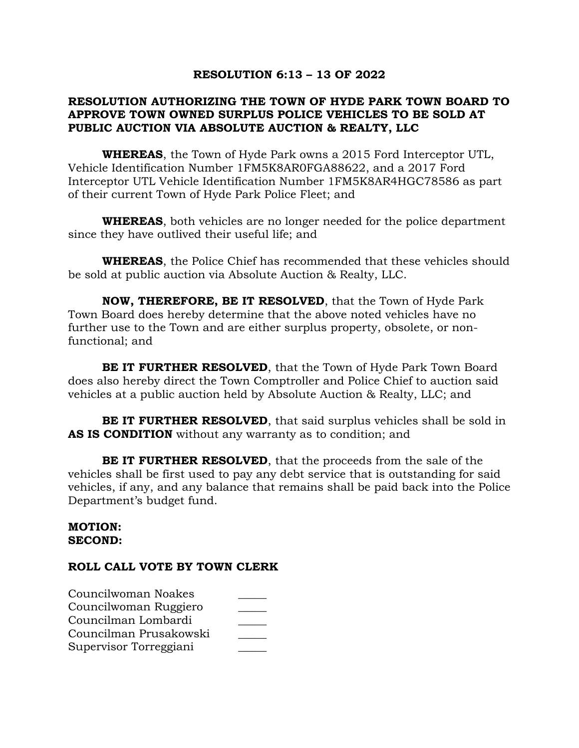# **RESOLUTION 6:13 – 13 OF 2022**

# **RESOLUTION AUTHORIZING THE TOWN OF HYDE PARK TOWN BOARD TO APPROVE TOWN OWNED SURPLUS POLICE VEHICLES TO BE SOLD AT PUBLIC AUCTION VIA ABSOLUTE AUCTION & REALTY, LLC**

**WHEREAS**, the Town of Hyde Park owns a 2015 Ford Interceptor UTL, Vehicle Identification Number 1FM5K8AR0FGA88622, and a 2017 Ford Interceptor UTL Vehicle Identification Number 1FM5K8AR4HGC78586 as part of their current Town of Hyde Park Police Fleet; and

**WHEREAS**, both vehicles are no longer needed for the police department since they have outlived their useful life; and

**WHEREAS**, the Police Chief has recommended that these vehicles should be sold at public auction via Absolute Auction & Realty, LLC.

**NOW, THEREFORE, BE IT RESOLVED**, that the Town of Hyde Park Town Board does hereby determine that the above noted vehicles have no further use to the Town and are either surplus property, obsolete, or nonfunctional; and

**BE IT FURTHER RESOLVED**, that the Town of Hyde Park Town Board does also hereby direct the Town Comptroller and Police Chief to auction said vehicles at a public auction held by Absolute Auction & Realty, LLC; and

**BE IT FURTHER RESOLVED**, that said surplus vehicles shall be sold in **AS IS CONDITION** without any warranty as to condition; and

**BE IT FURTHER RESOLVED**, that the proceeds from the sale of the vehicles shall be first used to pay any debt service that is outstanding for said vehicles, if any, and any balance that remains shall be paid back into the Police Department's budget fund.

#### **MOTION: SECOND:**

| Councilwoman Noakes    |  |
|------------------------|--|
| Councilwoman Ruggiero  |  |
| Councilman Lombardi    |  |
| Councilman Prusakowski |  |
| Supervisor Torreggiani |  |
|                        |  |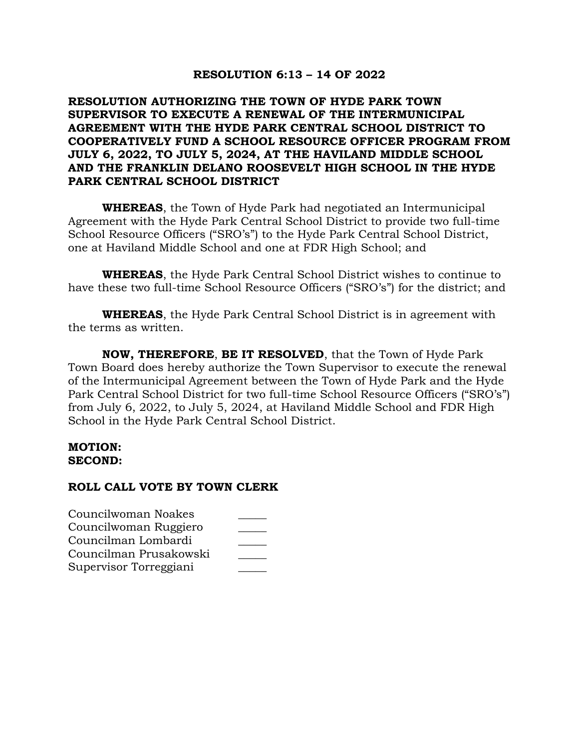# **RESOLUTION 6:13 – 14 OF 2022**

# **RESOLUTION AUTHORIZING THE TOWN OF HYDE PARK TOWN SUPERVISOR TO EXECUTE A RENEWAL OF THE INTERMUNICIPAL AGREEMENT WITH THE HYDE PARK CENTRAL SCHOOL DISTRICT TO COOPERATIVELY FUND A SCHOOL RESOURCE OFFICER PROGRAM FROM JULY 6, 2022, TO JULY 5, 2024, AT THE HAVILAND MIDDLE SCHOOL AND THE FRANKLIN DELANO ROOSEVELT HIGH SCHOOL IN THE HYDE PARK CENTRAL SCHOOL DISTRICT**

**WHEREAS**, the Town of Hyde Park had negotiated an Intermunicipal Agreement with the Hyde Park Central School District to provide two full-time School Resource Officers ("SRO's") to the Hyde Park Central School District, one at Haviland Middle School and one at FDR High School; and

**WHEREAS**, the Hyde Park Central School District wishes to continue to have these two full-time School Resource Officers ("SRO's") for the district; and

**WHEREAS**, the Hyde Park Central School District is in agreement with the terms as written.

**NOW, THEREFORE**, **BE IT RESOLVED**, that the Town of Hyde Park Town Board does hereby authorize the Town Supervisor to execute the renewal of the Intermunicipal Agreement between the Town of Hyde Park and the Hyde Park Central School District for two full-time School Resource Officers ("SRO's") from July 6, 2022, to July 5, 2024, at Haviland Middle School and FDR High School in the Hyde Park Central School District.

## **MOTION: SECOND:**

| Councilwoman Noakes    |  |
|------------------------|--|
| Councilwoman Ruggiero  |  |
| Councilman Lombardi    |  |
| Councilman Prusakowski |  |
| Supervisor Torreggiani |  |
|                        |  |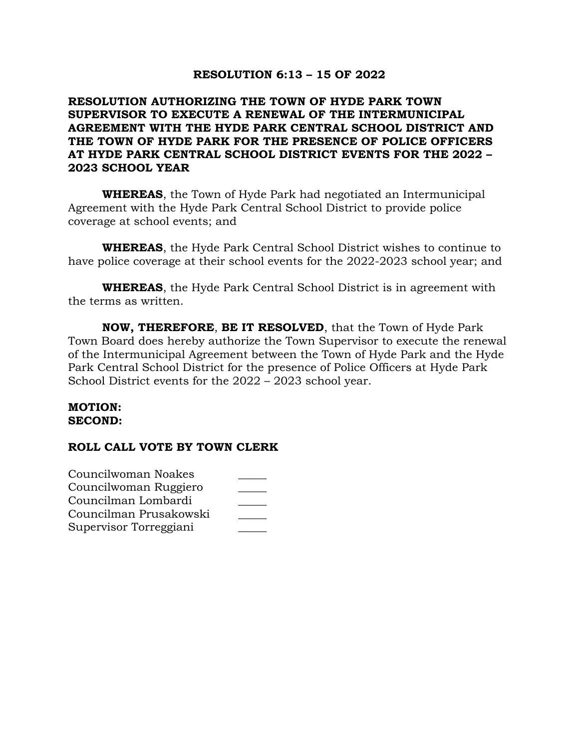# **RESOLUTION 6:13 – 15 OF 2022**

# **RESOLUTION AUTHORIZING THE TOWN OF HYDE PARK TOWN SUPERVISOR TO EXECUTE A RENEWAL OF THE INTERMUNICIPAL AGREEMENT WITH THE HYDE PARK CENTRAL SCHOOL DISTRICT AND THE TOWN OF HYDE PARK FOR THE PRESENCE OF POLICE OFFICERS AT HYDE PARK CENTRAL SCHOOL DISTRICT EVENTS FOR THE 2022 – 2023 SCHOOL YEAR**

**WHEREAS**, the Town of Hyde Park had negotiated an Intermunicipal Agreement with the Hyde Park Central School District to provide police coverage at school events; and

**WHEREAS**, the Hyde Park Central School District wishes to continue to have police coverage at their school events for the 2022-2023 school year; and

**WHEREAS**, the Hyde Park Central School District is in agreement with the terms as written.

**NOW, THEREFORE**, **BE IT RESOLVED**, that the Town of Hyde Park Town Board does hereby authorize the Town Supervisor to execute the renewal of the Intermunicipal Agreement between the Town of Hyde Park and the Hyde Park Central School District for the presence of Police Officers at Hyde Park School District events for the 2022 – 2023 school year.

### **MOTION: SECOND:**

| Councilwoman Noakes    |  |
|------------------------|--|
| Councilwoman Ruggiero  |  |
| Councilman Lombardi    |  |
| Councilman Prusakowski |  |
| Supervisor Torreggiani |  |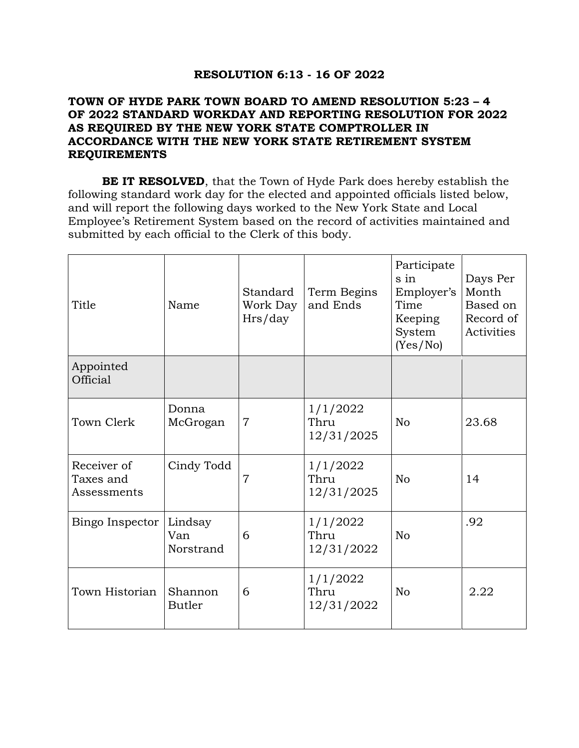# **RESOLUTION 6:13 - 16 OF 2022**

# **TOWN OF HYDE PARK TOWN BOARD TO AMEND RESOLUTION 5:23 – 4 OF 2022 STANDARD WORKDAY AND REPORTING RESOLUTION FOR 2022 AS REQUIRED BY THE NEW YORK STATE COMPTROLLER IN ACCORDANCE WITH THE NEW YORK STATE RETIREMENT SYSTEM REQUIREMENTS**

**BE IT RESOLVED**, that the Town of Hyde Park does hereby establish the following standard work day for the elected and appointed officials listed below, and will report the following days worked to the New York State and Local Employee's Retirement System based on the record of activities maintained and submitted by each official to the Clerk of this body.

| Title                                   | Name                        | Standard<br>Work Day<br>Hrs/day | Term Begins<br>and Ends        | Participate<br>s in<br>Employer's<br>Time<br>Keeping<br>System<br>(Yes/No) | Days Per<br>Month<br>Based on<br>Record of<br>Activities |
|-----------------------------------------|-----------------------------|---------------------------------|--------------------------------|----------------------------------------------------------------------------|----------------------------------------------------------|
| Appointed<br>Official                   |                             |                                 |                                |                                                                            |                                                          |
| Town Clerk                              | Donna<br>McGrogan           | $\overline{7}$                  | 1/1/2022<br>Thru<br>12/31/2025 | N <sub>o</sub>                                                             | 23.68                                                    |
| Receiver of<br>Taxes and<br>Assessments | Cindy Todd                  | $\overline{7}$                  | 1/1/2022<br>Thru<br>12/31/2025 | N <sub>o</sub>                                                             | 14                                                       |
| Bingo Inspector                         | Lindsay<br>Van<br>Norstrand | 6                               | 1/1/2022<br>Thru<br>12/31/2022 | N <sub>o</sub>                                                             | .92                                                      |
| Town Historian                          | Shannon<br><b>Butler</b>    | 6                               | 1/1/2022<br>Thru<br>12/31/2022 | No                                                                         | 2.22                                                     |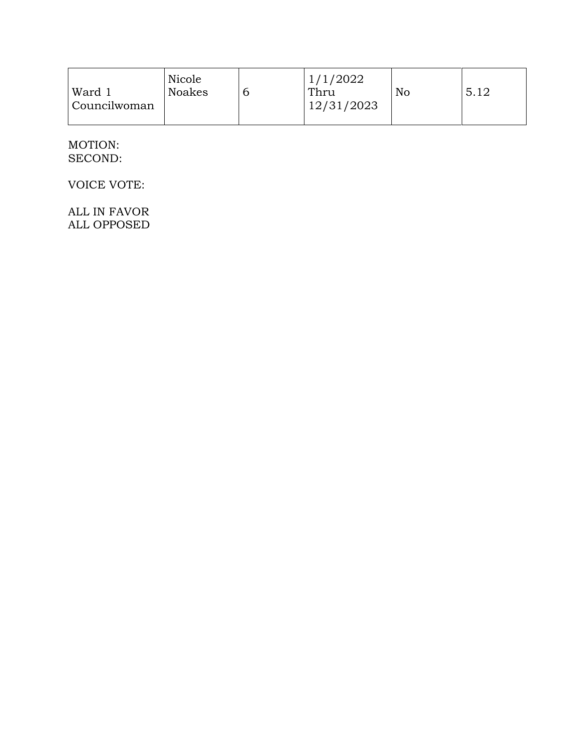|  | Ward 1<br>  Councilwoman | Nicole<br><b>Noakes</b> |  | 1/1/2022<br>Thru<br>12/31/2023 | No | 5.12 |
|--|--------------------------|-------------------------|--|--------------------------------|----|------|
|--|--------------------------|-------------------------|--|--------------------------------|----|------|

# MOTION: SECOND:

VOICE VOTE:

ALL IN FAVOR ALL OPPOSED